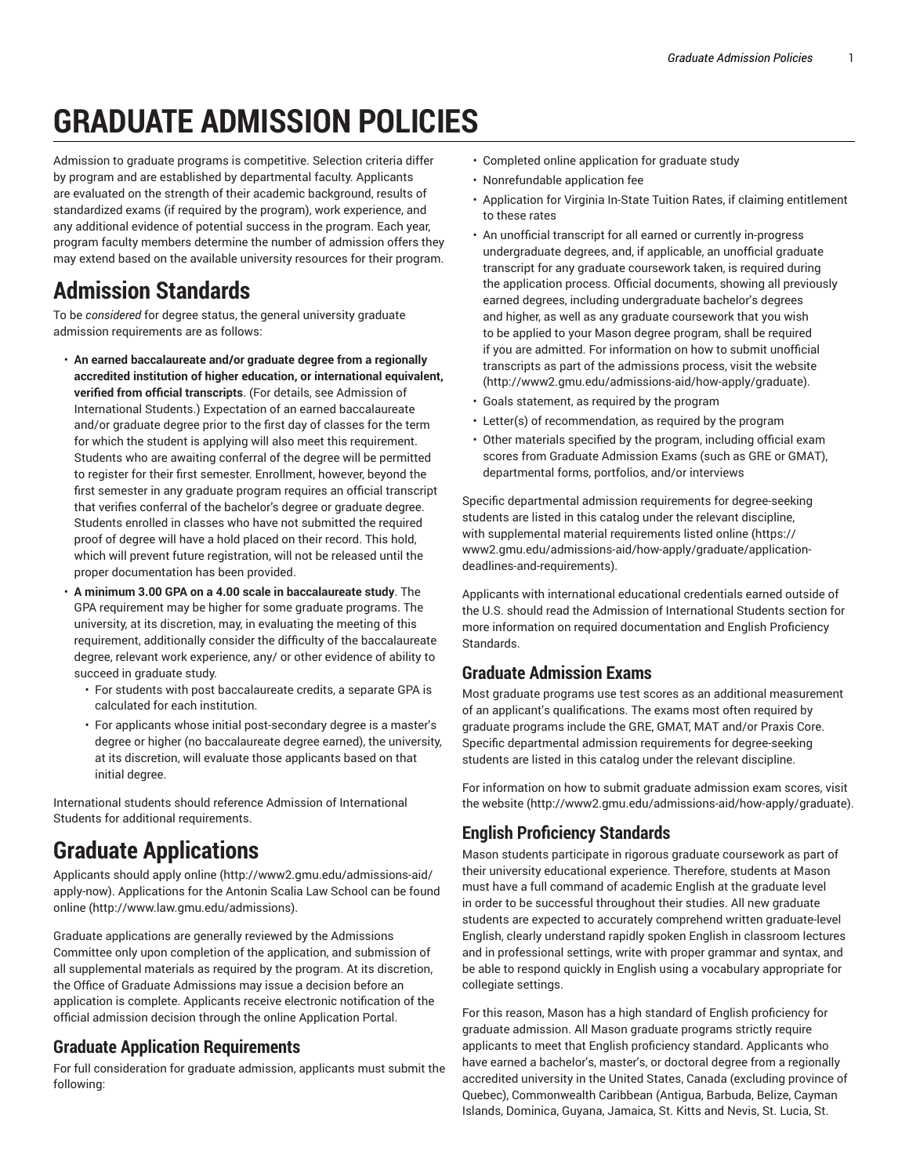# **GRADUATE ADMISSION POLICIES**

Admission to graduate programs is competitive. Selection criteria differ by program and are established by departmental faculty. Applicants are evaluated on the strength of their academic background, results of standardized exams (if required by the program), work experience, and any additional evidence of potential success in the program. Each year, program faculty members determine the number of admission offers they may extend based on the available university resources for their program.

### **Admission Standards**

To be *considered* for degree status, the general university graduate admission requirements are as follows:

- **An earned baccalaureate and/or graduate degree from a regionally accredited institution of higher education, or international equivalent, verified from official transcripts**. (For details, see Admission of International Students.) Expectation of an earned baccalaureate and/or graduate degree prior to the first day of classes for the term for which the student is applying will also meet this requirement. Students who are awaiting conferral of the degree will be permitted to register for their first semester. Enrollment, however, beyond the first semester in any graduate program requires an official transcript that verifies conferral of the bachelor's degree or graduate degree. Students enrolled in classes who have not submitted the required proof of degree will have a hold placed on their record. This hold, which will prevent future registration, will not be released until the proper documentation has been provided.
- **A minimum 3.00 GPA on a 4.00 scale in baccalaureate study**. The GPA requirement may be higher for some graduate programs. The university, at its discretion, may, in evaluating the meeting of this requirement, additionally consider the difficulty of the baccalaureate degree, relevant work experience, any/ or other evidence of ability to succeed in graduate study.
	- For students with post baccalaureate credits, a separate GPA is calculated for each institution.
	- For applicants whose initial post-secondary degree is a master's degree or higher (no baccalaureate degree earned), the university, at its discretion, will evaluate those applicants based on that initial degree.

International students should reference Admission of International Students for additional requirements.

## **Graduate Applications**

Applicants should apply online (http://www2.gmu.edu/admissions-aid/ apply-now). Applications for the Antonin Scalia Law School can be found online (http://www.law.gmu.edu/admissions).

Graduate applications are generally reviewed by the Admissions Committee only upon completion of the application, and submission of all supplemental materials as required by the program. At its discretion, the Office of Graduate Admissions may issue a decision before an application is complete. Applicants receive electronic notification of the official admission decision through the online Application Portal.

#### **Graduate Application Requirements**

For full consideration for graduate admission, applicants must submit the following:

- Completed online application for graduate study
- Nonrefundable application fee
- Application for Virginia In-State Tuition Rates, if claiming entitlement to these rates
- An unofficial transcript for all earned or currently in-progress undergraduate degrees, and, if applicable, an unofficial graduate transcript for any graduate coursework taken, is required during the application process. Official documents, showing all previously earned degrees, including undergraduate bachelor's degrees and higher, as well as any graduate coursework that you wish to be applied to your Mason degree program, shall be required if you are admitted. For information on how to submit unofficial transcripts as part of the admissions process, visit the website (http://www2.gmu.edu/admissions-aid/how-apply/graduate).
- Goals statement, as required by the program
- Letter(s) of recommendation, as required by the program
- Other materials specified by the program, including official exam scores from Graduate Admission Exams (such as GRE or GMAT), departmental forms, portfolios, and/or interviews

Specific departmental admission requirements for degree-seeking students are listed in this catalog under the relevant discipline, with supplemental material requirements listed online (https:// www2.gmu.edu/admissions-aid/how-apply/graduate/applicationdeadlines-and-requirements).

Applicants with international educational credentials earned outside of the U.S. should read the Admission of International Students section for more information on required documentation and English Proficiency Standards.

#### **Graduate Admission Exams**

Most graduate programs use test scores as an additional measurement of an applicant's qualifications. The exams most often required by graduate programs include the GRE, GMAT, MAT and/or Praxis Core. Specific departmental admission requirements for degree-seeking students are listed in this catalog under the relevant discipline.

For information on how to submit graduate admission exam scores, visit the website (http://www2.gmu.edu/admissions-aid/how-apply/graduate).

#### **English Proficiency Standards**

Mason students participate in rigorous graduate coursework as part of their university educational experience. Therefore, students at Mason must have a full command of academic English at the graduate level in order to be successful throughout their studies. All new graduate students are expected to accurately comprehend written graduate-level English, clearly understand rapidly spoken English in classroom lectures and in professional settings, write with proper grammar and syntax, and be able to respond quickly in English using a vocabulary appropriate for collegiate settings.

For this reason, Mason has a high standard of English proficiency for graduate admission. All Mason graduate programs strictly require applicants to meet that English proficiency standard. Applicants who have earned a bachelor's, master's, or doctoral degree from a regionally accredited university in the United States, Canada (excluding province of Quebec), Commonwealth Caribbean (Antigua, Barbuda, Belize, Cayman Islands, Dominica, Guyana, Jamaica, St. Kitts and Nevis, St. Lucia, St.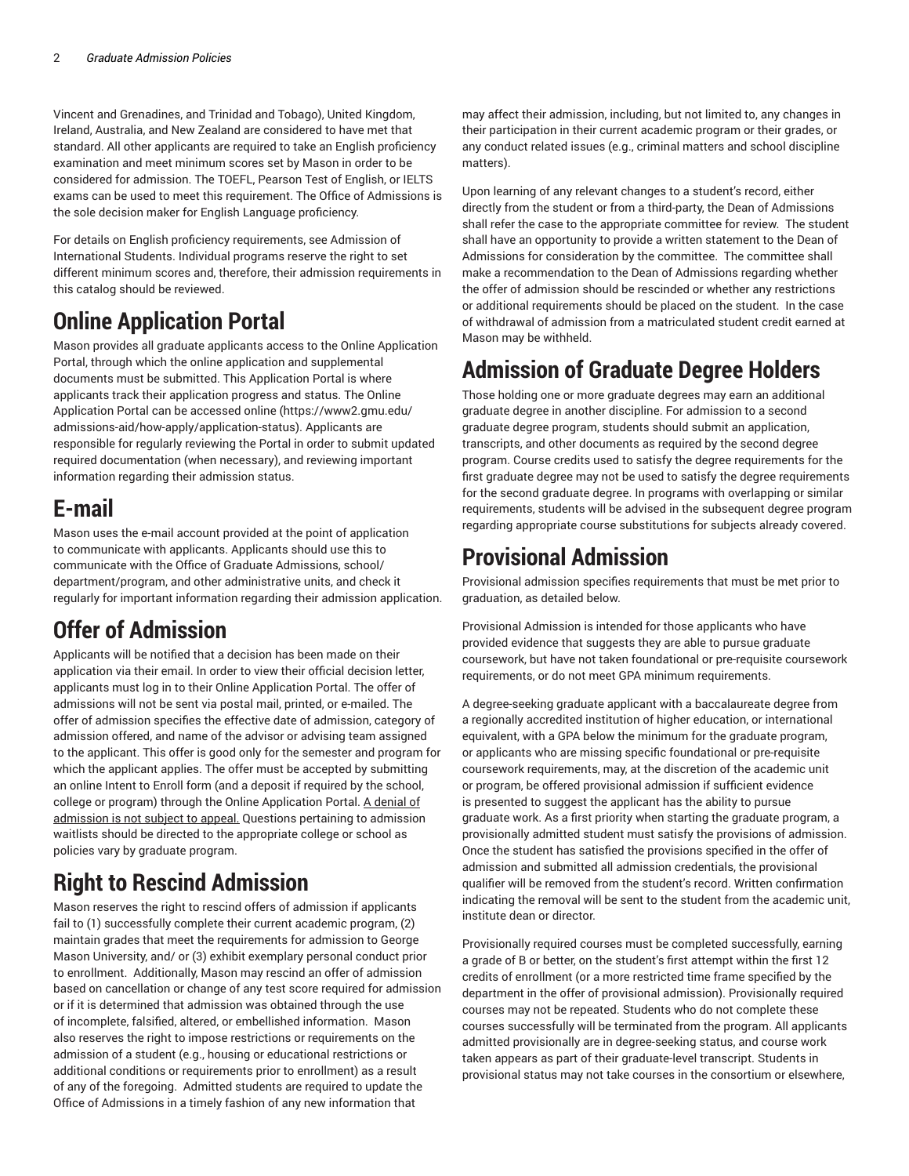Vincent and Grenadines, and Trinidad and Tobago), United Kingdom, Ireland, Australia, and New Zealand are considered to have met that standard. All other applicants are required to take an English proficiency examination and meet minimum scores set by Mason in order to be considered for admission. The TOEFL, Pearson Test of English, or IELTS exams can be used to meet this requirement. The Office of Admissions is the sole decision maker for English Language proficiency.

For details on English proficiency requirements, see Admission of International Students. Individual programs reserve the right to set different minimum scores and, therefore, their admission requirements in this catalog should be reviewed.

### **Online Application Portal**

Mason provides all graduate applicants access to the Online Application Portal, through which the online application and supplemental documents must be submitted. This Application Portal is where applicants track their application progress and status. The Online Application Portal can be accessed online (https://www2.gmu.edu/ admissions-aid/how-apply/application-status). Applicants are responsible for regularly reviewing the Portal in order to submit updated required documentation (when necessary), and reviewing important information regarding their admission status.

#### **E-mail**

Mason uses the e-mail account provided at the point of application to communicate with applicants. Applicants should use this to communicate with the Office of Graduate Admissions, school/ department/program, and other administrative units, and check it regularly for important information regarding their admission application.

### **Offer of Admission**

Applicants will be notified that a decision has been made on their application via their email. In order to view their official decision letter, applicants must log in to their Online Application Portal. The offer of admissions will not be sent via postal mail, printed, or e-mailed. The offer of admission specifies the effective date of admission, category of admission offered, and name of the advisor or advising team assigned to the applicant. This offer is good only for the semester and program for which the applicant applies. The offer must be accepted by submitting an online Intent to Enroll form (and a deposit if required by the school, college or program) through the Online Application Portal. A denial of admission is not subject to appeal. Questions pertaining to admission waitlists should be directed to the appropriate college or school as policies vary by graduate program.

### **Right to Rescind Admission**

Mason reserves the right to rescind offers of admission if applicants fail to (1) successfully complete their current academic program, (2) maintain grades that meet the requirements for admission to George Mason University, and/ or (3) exhibit exemplary personal conduct prior to enrollment. Additionally, Mason may rescind an offer of admission based on cancellation or change of any test score required for admission or if it is determined that admission was obtained through the use of incomplete, falsified, altered, or embellished information. Mason also reserves the right to impose restrictions or requirements on the admission of a student (e.g., housing or educational restrictions or additional conditions or requirements prior to enrollment) as a result of any of the foregoing. Admitted students are required to update the Office of Admissions in a timely fashion of any new information that

may affect their admission, including, but not limited to, any changes in their participation in their current academic program or their grades, or any conduct related issues (e.g., criminal matters and school discipline matters).

Upon learning of any relevant changes to a student's record, either directly from the student or from a third-party, the Dean of Admissions shall refer the case to the appropriate committee for review. The student shall have an opportunity to provide a written statement to the Dean of Admissions for consideration by the committee. The committee shall make a recommendation to the Dean of Admissions regarding whether the offer of admission should be rescinded or whether any restrictions or additional requirements should be placed on the student. In the case of withdrawal of admission from a matriculated student credit earned at Mason may be withheld.

#### **Admission of Graduate Degree Holders**

Those holding one or more graduate degrees may earn an additional graduate degree in another discipline. For admission to a second graduate degree program, students should submit an application, transcripts, and other documents as required by the second degree program. Course credits used to satisfy the degree requirements for the first graduate degree may not be used to satisfy the degree requirements for the second graduate degree. In programs with overlapping or similar requirements, students will be advised in the subsequent degree program regarding appropriate course substitutions for subjects already covered.

#### **Provisional Admission**

Provisional admission specifies requirements that must be met prior to graduation, as detailed below.

Provisional Admission is intended for those applicants who have provided evidence that suggests they are able to pursue graduate coursework, but have not taken foundational or pre-requisite coursework requirements, or do not meet GPA minimum requirements.

A degree-seeking graduate applicant with a baccalaureate degree from a regionally accredited institution of higher education, or international equivalent, with a GPA below the minimum for the graduate program, or applicants who are missing specific foundational or pre-requisite coursework requirements, may, at the discretion of the academic unit or program, be offered provisional admission if sufficient evidence is presented to suggest the applicant has the ability to pursue graduate work. As a first priority when starting the graduate program, a provisionally admitted student must satisfy the provisions of admission. Once the student has satisfied the provisions specified in the offer of admission and submitted all admission credentials, the provisional qualifier will be removed from the student's record. Written confirmation indicating the removal will be sent to the student from the academic unit, institute dean or director.

Provisionally required courses must be completed successfully, earning a grade of B or better, on the student's first attempt within the first 12 credits of enrollment (or a more restricted time frame specified by the department in the offer of provisional admission). Provisionally required courses may not be repeated. Students who do not complete these courses successfully will be terminated from the program. All applicants admitted provisionally are in degree-seeking status, and course work taken appears as part of their graduate-level transcript. Students in provisional status may not take courses in the consortium or elsewhere,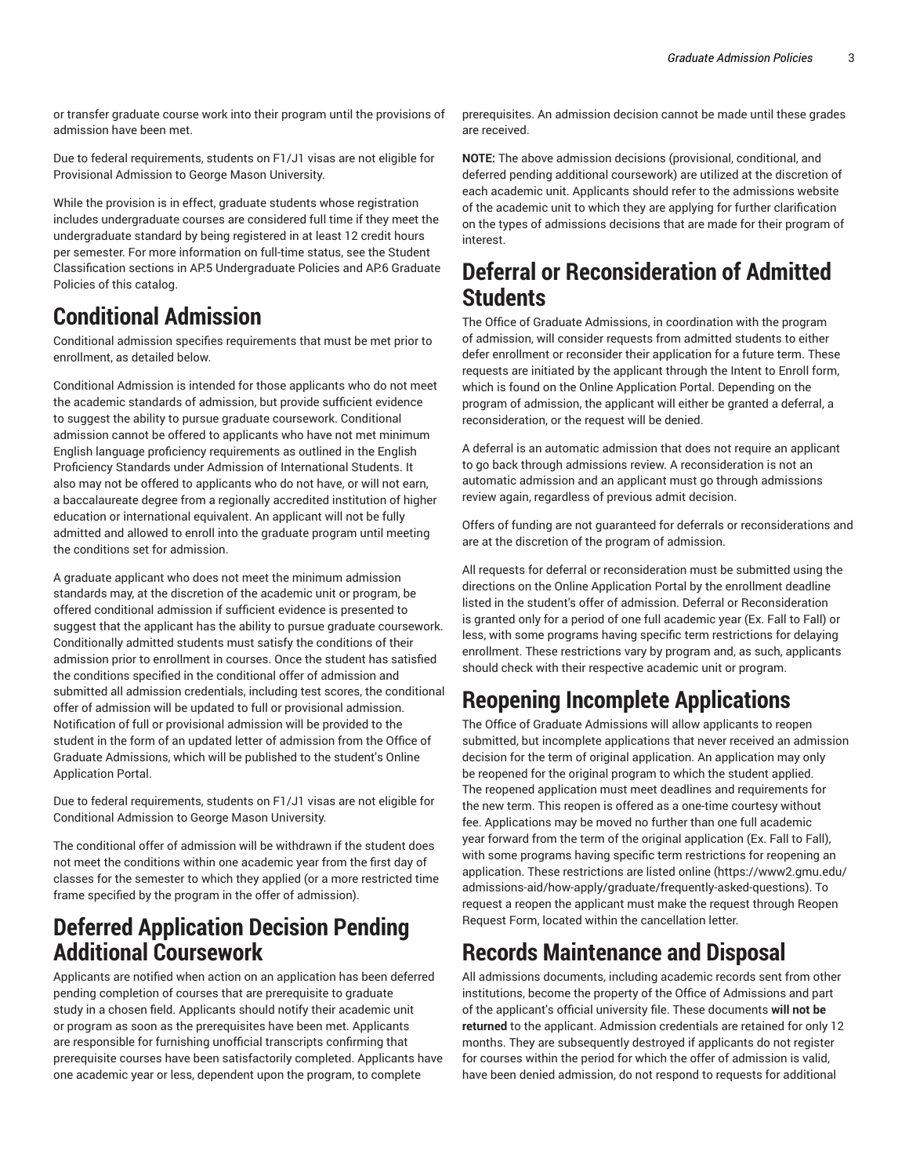or transfer graduate course work into their program until the provisions of admission have been met.

Due to federal requirements, students on F1/J1 visas are not eligible for Provisional Admission to George Mason University.

While the provision is in effect, graduate students whose registration includes undergraduate courses are considered full time if they meet the undergraduate standard by being registered in at least 12 credit hours per semester. For more information on full-time status, see the Student Classification sections in AP.5 Undergraduate Policies and AP.6 Graduate Policies of this catalog.

#### **Conditional Admission**

Conditional admission specifies requirements that must be met prior to enrollment, as detailed below.

Conditional Admission is intended for those applicants who do not meet the academic standards of admission, but provide sufficient evidence to suggest the ability to pursue graduate coursework. Conditional admission cannot be offered to applicants who have not met minimum English language proficiency requirements as outlined in the English Proficiency Standards under Admission of International Students. It also may not be offered to applicants who do not have, or will not earn, a baccalaureate degree from a regionally accredited institution of higher education or international equivalent. An applicant will not be fully admitted and allowed to enroll into the graduate program until meeting the conditions set for admission.

A graduate applicant who does not meet the minimum admission standards may, at the discretion of the academic unit or program, be offered conditional admission if sufficient evidence is presented to suggest that the applicant has the ability to pursue graduate coursework. Conditionally admitted students must satisfy the conditions of their admission prior to enrollment in courses. Once the student has satisfied the conditions specified in the conditional offer of admission and submitted all admission credentials, including test scores, the conditional offer of admission will be updated to full or provisional admission. Notification of full or provisional admission will be provided to the student in the form of an updated letter of admission from the Office of Graduate Admissions, which will be published to the student's Online Application Portal.

Due to federal requirements, students on F1/J1 visas are not eligible for Conditional Admission to George Mason University.

The conditional offer of admission will be withdrawn if the student does not meet the conditions within one academic year from the first day of classes for the semester to which they applied (or a more restricted time frame specified by the program in the offer of admission).

#### **Deferred Application Decision Pending Additional Coursework**

Applicants are notified when action on an application has been deferred pending completion of courses that are prerequisite to graduate study in a chosen field. Applicants should notify their academic unit or program as soon as the prerequisites have been met. Applicants are responsible for furnishing unofficial transcripts confirming that prerequisite courses have been satisfactorily completed. Applicants have one academic year or less, dependent upon the program, to complete

prerequisites. An admission decision cannot be made until these grades are received.

**NOTE:** The above admission decisions (provisional, conditional, and deferred pending additional coursework) are utilized at the discretion of each academic unit. Applicants should refer to the admissions website of the academic unit to which they are applying for further clarification on the types of admissions decisions that are made for their program of interest.

#### **Deferral or Reconsideration of Admitted Students**

The Office of Graduate Admissions, in coordination with the program of admission, will consider requests from admitted students to either defer enrollment or reconsider their application for a future term. These requests are initiated by the applicant through the Intent to Enroll form, which is found on the Online Application Portal. Depending on the program of admission, the applicant will either be granted a deferral, a reconsideration, or the request will be denied.

A deferral is an automatic admission that does not require an applicant to go back through admissions review. A reconsideration is not an automatic admission and an applicant must go through admissions review again, regardless of previous admit decision.

Offers of funding are not guaranteed for deferrals or reconsiderations and are at the discretion of the program of admission.

All requests for deferral or reconsideration must be submitted using the directions on the Online Application Portal by the enrollment deadline listed in the student's offer of admission. Deferral or Reconsideration is granted only for a period of one full academic year (Ex. Fall to Fall) or less, with some programs having specific term restrictions for delaying enrollment. These restrictions vary by program and, as such, applicants should check with their respective academic unit or program.

### **Reopening Incomplete Applications**

The Office of Graduate Admissions will allow applicants to reopen submitted, but incomplete applications that never received an admission decision for the term of original application. An application may only be reopened for the original program to which the student applied. The reopened application must meet deadlines and requirements for the new term. This reopen is offered as a one-time courtesy without fee. Applications may be moved no further than one full academic year forward from the term of the original application (Ex. Fall to Fall), with some programs having specific term restrictions for reopening an application. These restrictions are listed online (https://www2.gmu.edu/ admissions-aid/how-apply/graduate/frequently-asked-questions). To request a reopen the applicant must make the request through Reopen Request Form, located within the cancellation letter.

### **Records Maintenance and Disposal**

All admissions documents, including academic records sent from other institutions, become the property of the Office of Admissions and part of the applicant's official university file. These documents **will not be returned** to the applicant. Admission credentials are retained for only 12 months. They are subsequently destroyed if applicants do not register for courses within the period for which the offer of admission is valid, have been denied admission, do not respond to requests for additional